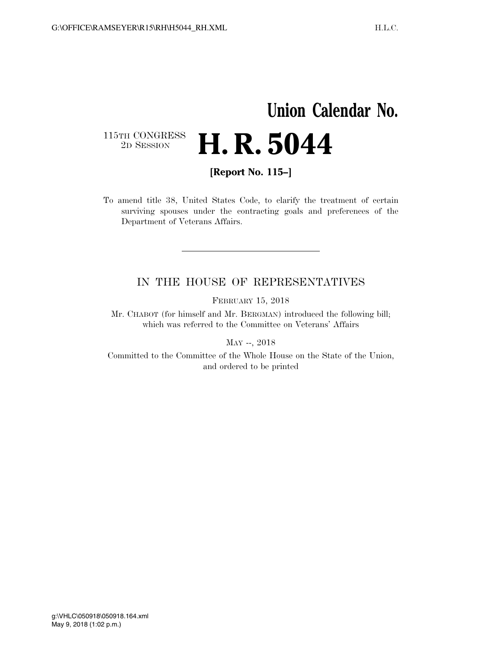## **Union Calendar No.**   $\begin{array}{c} \textbf{115TH CONGRESS} \\ \textbf{2D} \textbf{Session} \end{array}$ **H. R. 5044**

**[Report No. 115–]** 

To amend title 38, United States Code, to clarify the treatment of certain surviving spouses under the contracting goals and preferences of the Department of Veterans Affairs.

## IN THE HOUSE OF REPRESENTATIVES

FEBRUARY 15, 2018

Mr. CHABOT (for himself and Mr. BERGMAN) introduced the following bill; which was referred to the Committee on Veterans' Affairs

MAY --, 2018

Committed to the Committee of the Whole House on the State of the Union, and ordered to be printed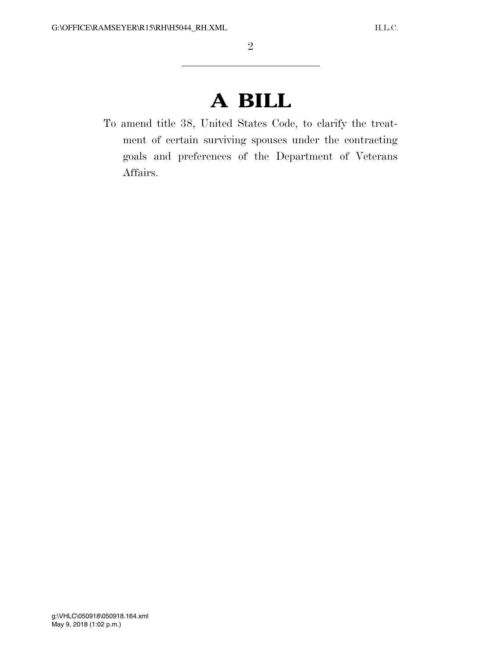## **A BILL**

To amend title 38, United States Code, to clarify the treatment of certain surviving spouses under the contracting goals and preferences of the Department of Veterans Affairs.